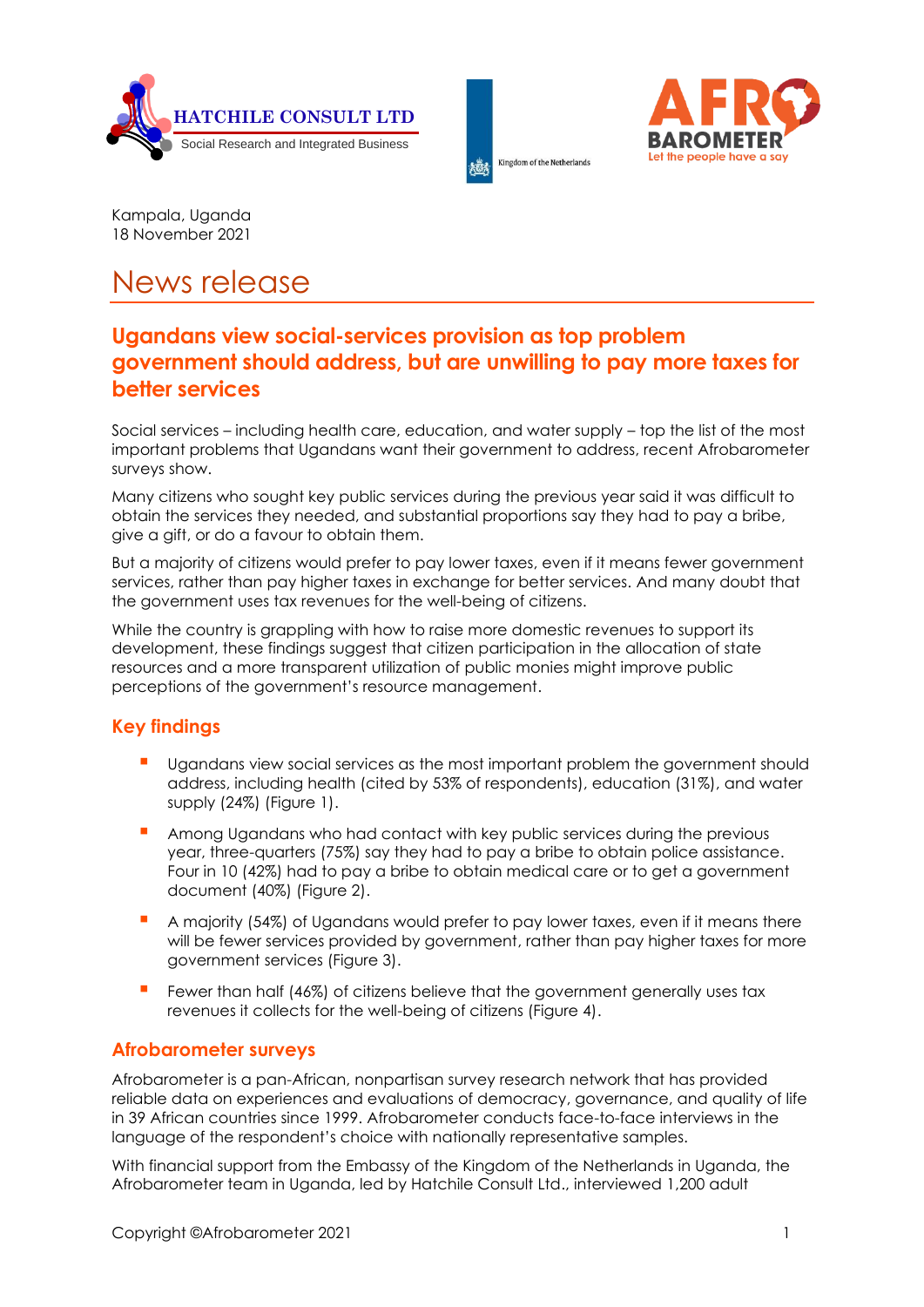





Kampala, Uganda 18 November 2021

# News release

# **Ugandans view social-services provision as top problem government should address, but are unwilling to pay more taxes for better services**

Social services – including health care, education, and water supply – top the list of the most important problems that Ugandans want their government to address, recent Afrobarometer surveys show.

Many citizens who sought key public services during the previous year said it was difficult to obtain the services they needed, and substantial proportions say they had to pay a bribe, give a gift, or do a favour to obtain them.

But a majority of citizens would prefer to pay lower taxes, even if it means fewer government services, rather than pay higher taxes in exchange for better services. And many doubt that the government uses tax revenues for the well-being of citizens.

While the country is grappling with how to raise more domestic revenues to support its development, these findings suggest that citizen participation in the allocation of state resources and a more transparent utilization of public monies might improve public perceptions of the government's resource management.

## **Key findings**

- **▪** Ugandans view social services as the most important problem the government should address, including health (cited by 53% of respondents), education (31%), and water supply (24%) (Figure 1).
- **▪** Among Ugandans who had contact with key public services during the previous year, three-quarters (75%) say they had to pay a bribe to obtain police assistance. Four in 10 (42%) had to pay a bribe to obtain medical care or to get a government document (40%) (Figure 2).
- **▪** A majority (54%) of Ugandans would prefer to pay lower taxes, even if it means there will be fewer services provided by government, rather than pay higher taxes for more government services (Figure 3).
- **▪** Fewer than half (46%) of citizens believe that the government generally uses tax revenues it collects for the well-being of citizens (Figure 4).

## **Afrobarometer surveys**

Afrobarometer is a pan-African, nonpartisan survey research network that has provided reliable data on experiences and evaluations of democracy, governance, and quality of life in 39 African countries since 1999. Afrobarometer conducts face-to-face interviews in the language of the respondent's choice with nationally representative samples.

With financial support from the Embassy of the Kingdom of the Netherlands in Uganda, the Afrobarometer team in Uganda, led by Hatchile Consult Ltd., interviewed 1,200 adult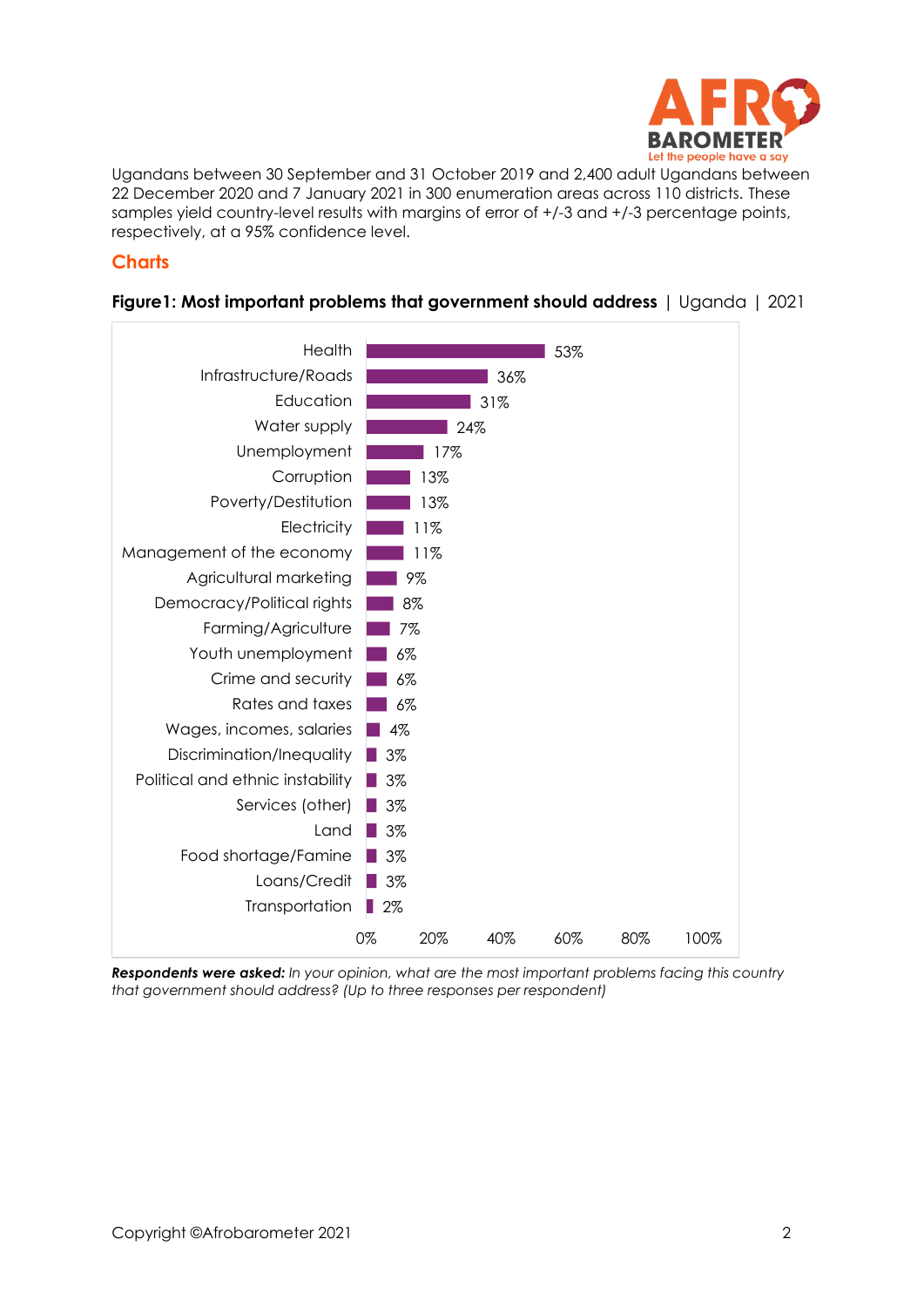

Ugandans between 30 September and 31 October 2019 and 2,400 adult Ugandans between 22 December 2020 and 7 January 2021 in 300 enumeration areas across 110 districts. These samples yield country-level results with margins of error of  $+/3$  and  $+/-3$  percentage points, respectively, at a 95% confidence level.

#### **Charts**



#### **Figure1: Most important problems that government should address** | Uganda | 2021

*Respondents were asked: In your opinion, what are the most important problems facing this country that government should address? (Up to three responses per respondent)*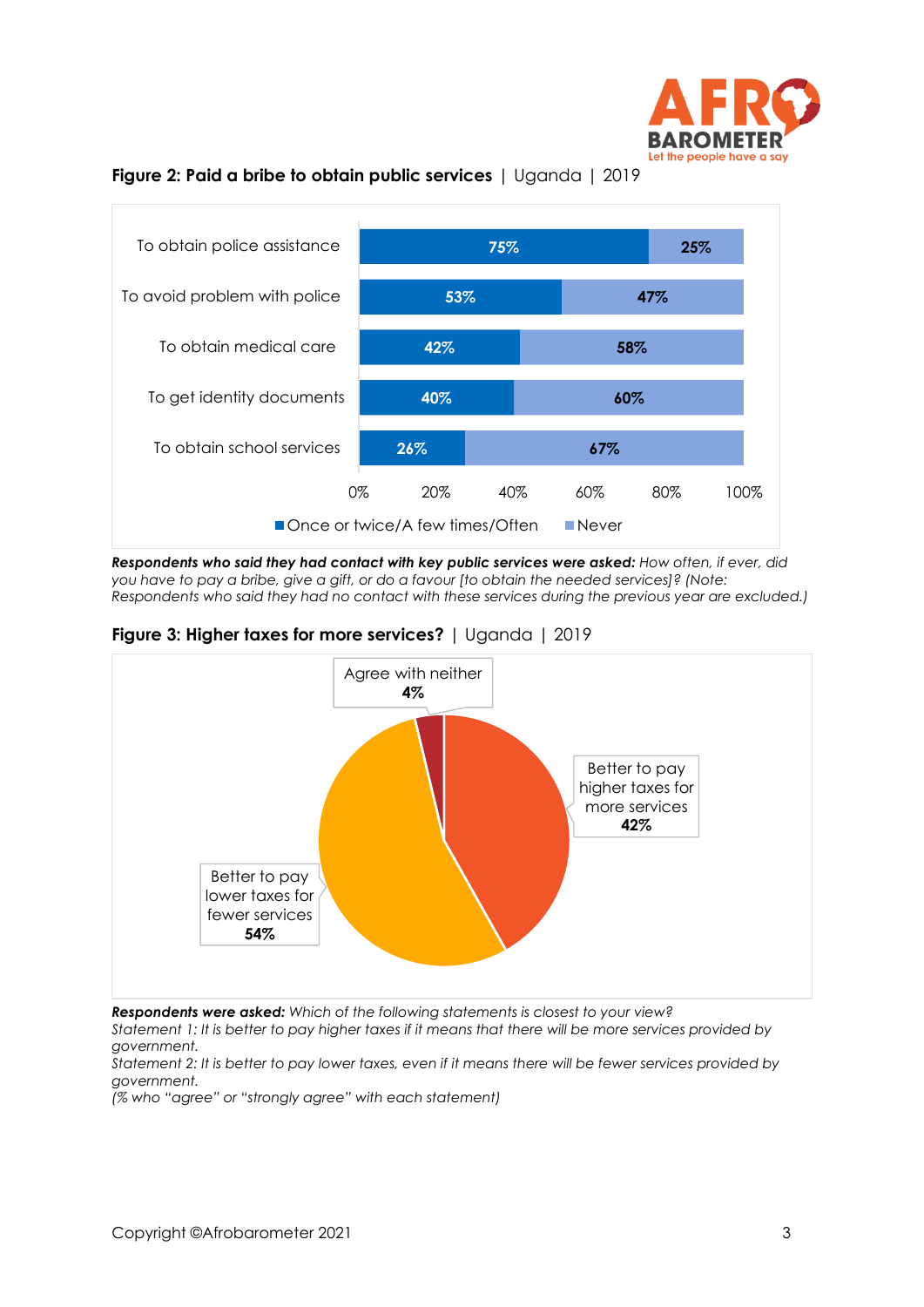





*Respondents who said they had contact with key public services were asked: How often, if ever, did you have to pay a bribe, give a gift, or do a favour [to obtain the needed services]? (Note: Respondents who said they had no contact with these services during the previous year are excluded.)*

**Figure 3: Higher taxes for more services?** | Uganda | 2019



*Respondents were asked: Which of the following statements is closest to your view?* 

*Statement 1: It is better to pay higher taxes if it means that there will be more services provided by government.* 

*Statement 2: It is better to pay lower taxes, even if it means there will be fewer services provided by government.*

*(% who "agree" or "strongly agree" with each statement)*